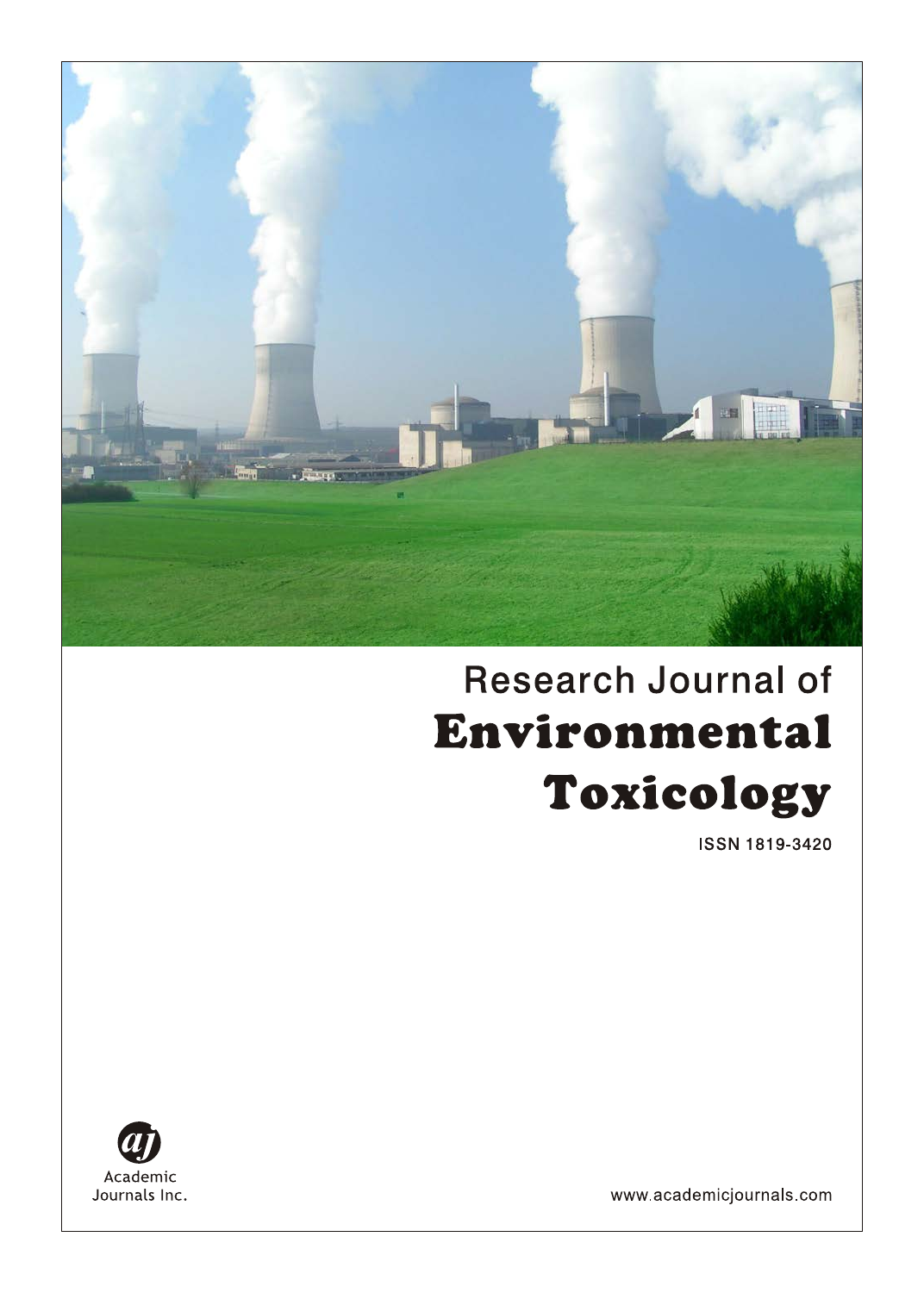

# **Research Journal of** Environmental Toxicology

ISSN 1819-3420



www.academicjournals.com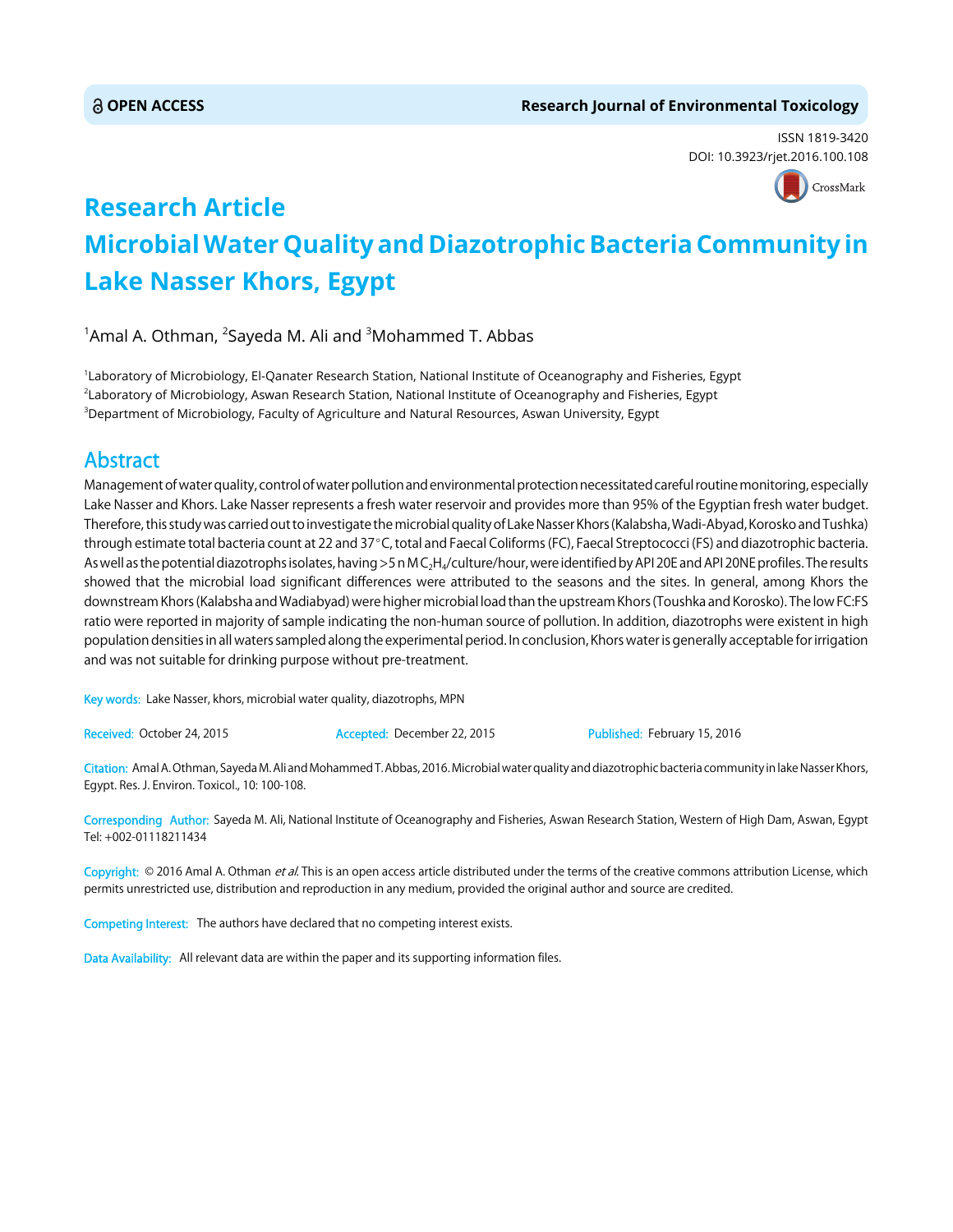ISSN 1819-3420 DOI: 10.3923/rjet.2016.100.108



## **Research Article Microbial Water Quality and Diazotrophic Bacteria Community in Lake Nasser Khors, Egypt**

 $^{\rm 1}$ Amal A. Othman,  $^{\rm 2}$ Sayeda M. Ali and  $^{\rm 3}$ Mohammed T. Abbas

1 Laboratory of Microbiology, El-Qanater Research Station, National Institute of Oceanography and Fisheries, Egypt 2 Laboratory of Microbiology, Aswan Research Station, National Institute of Oceanography and Fisheries, Egypt  $^3$ Department of Microbiology, Faculty of Agriculture and Natural Resources, Aswan University, Egypt

### Abstract

Management of water quality, control of water pollution and environmental protection necessitated careful routine monitoring, especially Lake Nasser and Khors. Lake Nasser represents a fresh water reservoir and provides more than 95% of the Egyptian fresh water budget. Therefore, this study was carried out to investigate the microbial quality of Lake Nasser Khors (Kalabsha, Wadi-Abyad, Korosko and Tushka) through estimate total bacteria count at 22 and 37°C, total and Faecal Coliforms (FC), Faecal Streptococci (FS) and diazotrophic bacteria. As well as the potential diazotrophs isolates, having >5 n M C<sub>2</sub>H<sub>4</sub>/culture/hour, were identified by API 20E and API 20NE profiles. The results showed that the microbial load significant differences were attributed to the seasons and the sites. In general, among Khors the downstream Khors (Kalabsha and Wadiabyad) were higher microbial load than the upstream Khors (Toushka and Korosko). The low FC:FS ratio were reported in majority of sample indicating the non-human source of pollution. In addition, diazotrophs were existent in high population densities in all waters sampled along the experimental period. In conclusion, Khors water is generally acceptable for irrigation and was not suitable for drinking purpose without pre-treatment.

Key words: Lake Nasser, khors, microbial water quality, diazotrophs, MPN

Received: October 24, 2015 **Accepted: December 22, 2015** Published: February 15, 2016

Citation: Amal A. Othman, Sayeda M. Ali and Mohammed T. Abbas, 2016. Microbial water quality and diazotrophic bacteria community in lake Nasser Khors, Egypt. Res. J. Environ. Toxicol., 10: 100-108.

Corresponding Author: Sayeda M. Ali, National Institute of Oceanography and Fisheries, Aswan Research Station, Western of High Dam, Aswan, Egypt Tel: +002-01118211434

Copyright: © 2016 Amal A. Othman et al. This is an open access article distributed under the terms of the creative commons attribution License, which permits unrestricted use, distribution and reproduction in any medium, provided the original author and source are credited.

Competing Interest: The authors have declared that no competing interest exists.

Data Availability: All relevant data are within the paper and its supporting information files.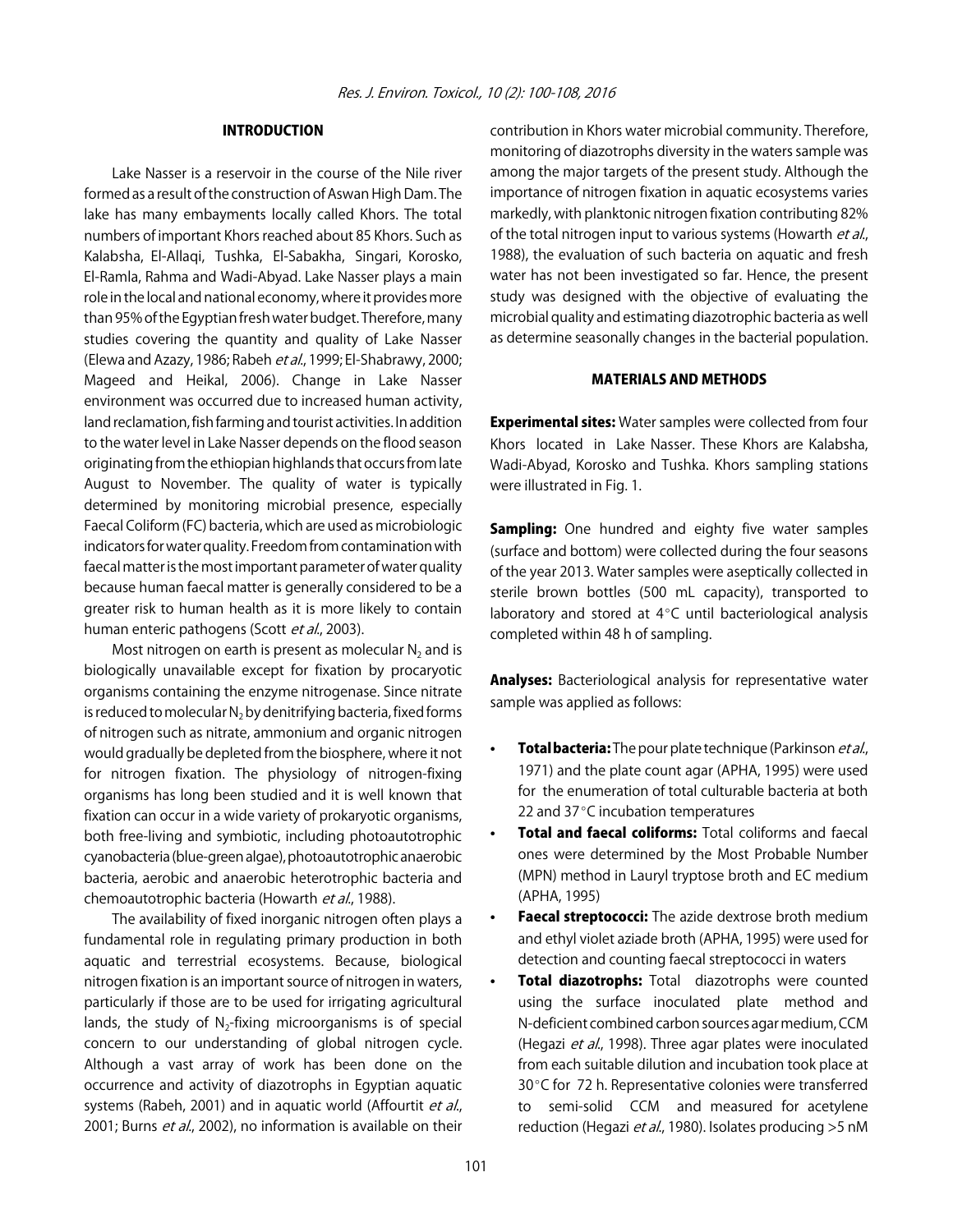#### INTRODUCTION

Lake Nasser is a reservoir in the course of the Nile river formed as a result of the construction of Aswan High Dam. The lake has many embayments locally called Khors. The total numbers of important Khors reached about 85 Khors. Such as Kalabsha, El-Allaqi, Tushka, El-Sabakha, Singari, Korosko, El-Ramla, Rahma and Wadi-Abyad. Lake Nasser plays a main role in the local and national economy, where it provides more than 95% of the Egyptian fresh water budget. Therefore, many studies covering the quantity and quality of Lake Nasser (Elewa and Azazy, 1986; Rabeh et al., 1999; El-Shabrawy, 2000; Mageed and Heikal, 2006). Change in Lake Nasser environment was occurred due to increased human activity, land reclamation, fish farming and tourist activities. In addition to the water level in Lake Nasser depends on the flood season originating from the ethiopian highlands that occurs from late August to November. The quality of water is typically determined by monitoring microbial presence, especially Faecal Coliform (FC) bacteria, which are used as microbiologic indicators for water quality. Freedom from contamination with faecal matter is the most important parameter of water quality because human faecal matter is generally considered to be a greater risk to human health as it is more likely to contain human enteric pathogens (Scott et al., 2003).

Most nitrogen on earth is present as molecular  $N_2$  and is biologically unavailable except for fixation by procaryotic organisms containing the enzyme nitrogenase. Since nitrate is reduced to molecular  $N_2$  by denitrifying bacteria, fixed forms of nitrogen such as nitrate, ammonium and organic nitrogen would gradually be depleted from the biosphere, where it not for nitrogen fixation. The physiology of nitrogen-fixing organisms has long been studied and it is well known that fixation can occur in a wide variety of prokaryotic organisms, both free-living and symbiotic, including photoautotrophic cyanobacteria (blue-green algae), photoautotrophic anaerobic bacteria, aerobic and anaerobic heterotrophic bacteria and chemoautotrophic bacteria (Howarth et al., 1988).

The availability of fixed inorganic nitrogen often plays a fundamental role in regulating primary production in both aquatic and terrestrial ecosystems. Because, biological nitrogen fixation is an important source of nitrogen in waters, particularly if those are to be used for irrigating agricultural lands, the study of  $N<sub>2</sub>$ -fixing microorganisms is of special concern to our understanding of global nitrogen cycle. Although a vast array of work has been done on the occurrence and activity of diazotrophs in Egyptian aquatic systems (Rabeh, 2001) and in aquatic world (Affourtit et al., 2001; Burns et al., 2002), no information is available on their

contribution in Khors water microbial community. Therefore, monitoring of diazotrophs diversity in the waters sample was among the major targets of the present study. Although the importance of nitrogen fixation in aquatic ecosystems varies markedly, with planktonic nitrogen fixation contributing 82% of the total nitrogen input to various systems (Howarth et al., 1988), the evaluation of such bacteria on aquatic and fresh water has not been investigated so far. Hence, the present study was designed with the objective of evaluating the microbial quality and estimating diazotrophic bacteria as well as determine seasonally changes in the bacterial population.

#### MATERIALS AND METHODS

**Experimental sites:** Water samples were collected from four Khors located in Lake Nasser. These Khors are Kalabsha, Wadi-Abyad, Korosko and Tushka. Khors sampling stations were illustrated in Fig. 1.

Sampling: One hundred and eighty five water samples (surface and bottom) were collected during the four seasons of the year 2013. Water samples were aseptically collected in sterile brown bottles (500 mL capacity), transported to laboratory and stored at  $4^{\circ}$ C until bacteriological analysis completed within 48 h of sampling.

**Analyses:** Bacteriological analysis for representative water sample was applied as follows:

- Total bacteria: The pour plate technique (Parkinson et al., 1971) and the plate count agar (APHA, 1995) were used for the enumeration of total culturable bacteria at both 22 and  $37^{\circ}$ C incubation temperatures
- Total and faecal coliforms: Total coliforms and faecal ones were determined by the Most Probable Number (MPN) method in Lauryl tryptose broth and EC medium (APHA, 1995)
- Faecal streptococci: The azide dextrose broth medium and ethyl violet aziade broth (APHA, 1995) were used for detection and counting faecal streptococci in waters
- Total diazotrophs: Total diazotrophs were counted using the surface inoculated plate method and N-deficient combined carbon sources agar medium, CCM (Hegazi et al., 1998). Three agar plates were inoculated from each suitable dilution and incubation took place at 30 °C for 72 h. Representative colonies were transferred to semi-solid CCM and measured for acetylene reduction (Hegazi et al., 1980). Isolates producing >5 nM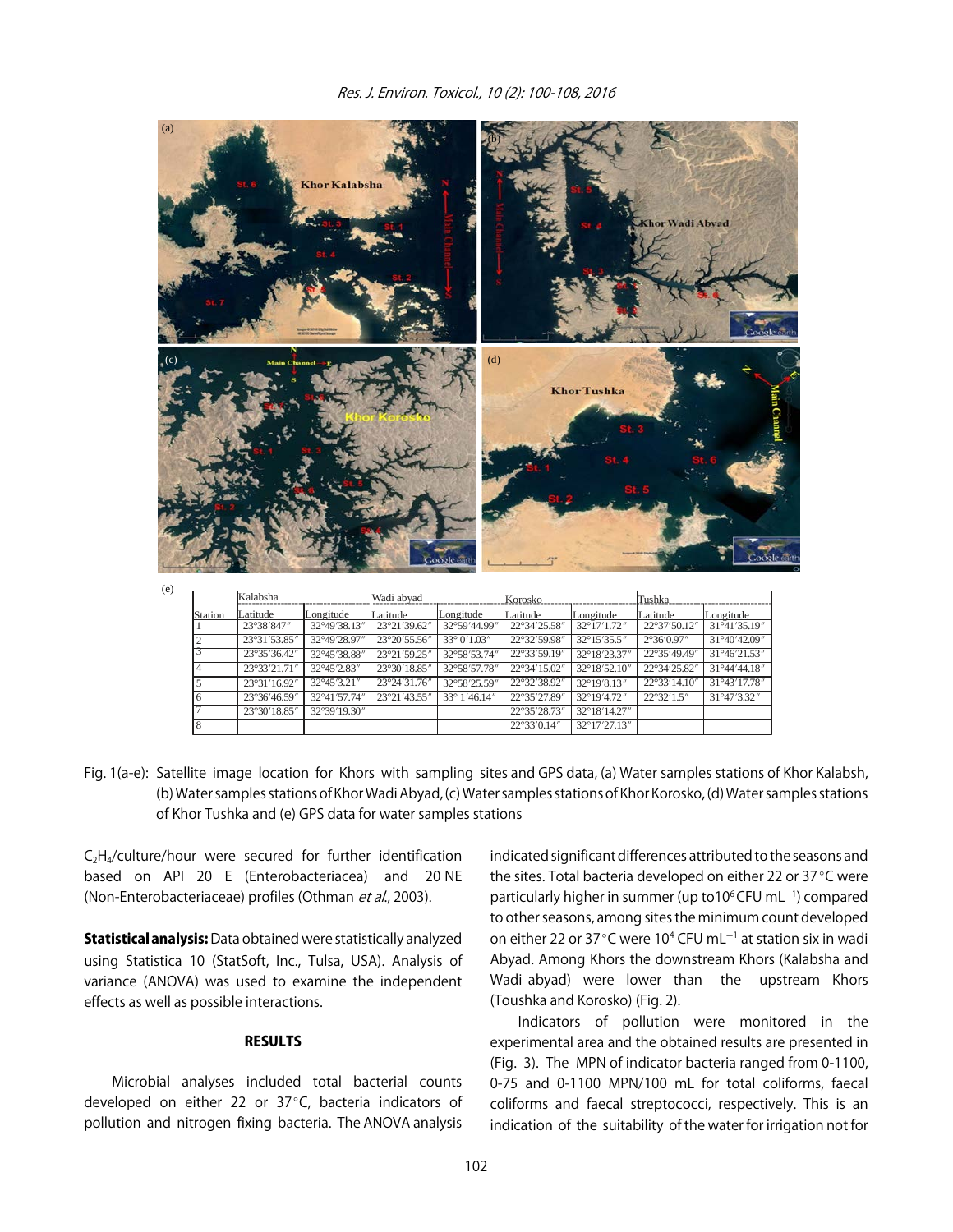

Fig. 1(a-e): Satellite image location for Khors with sampling sites and GPS data, (a) Water samples stations of Khor Kalabsh, (b) Water samples stations of Khor Wadi Abyad, (c) Water samples stations of Khor Korosko, (d) Water samples stations of Khor Tushka and (e) GPS data for water samples stations

33° 1'46.14'

22°35'27.89  $22°35'28.73$  $22^{\circ}33'0.14''$ 

32°19'4.72  $32^{\circ}18'14.27$ 32°17'27.13"

 $C_2H_4$ /culture/hour were secured for further identification based on API 20 E (Enterobacteriacea) and 20 NE (Non-Enterobacteriaceae) profiles (Othman et al., 2003).

23°36'46.59  $23°30'18.85$ 

6 7 8 32°41'57.74  $32^{\circ}39'19.30'$  23°21′43.55

**Statistical analysis:** Data obtained were statistically analyzed using Statistica 10 (StatSoft, Inc., Tulsa, USA). Analysis of variance (ANOVA) was used to examine the independent effects as well as possible interactions.

#### **RESULTS**

Microbial analyses included total bacterial counts developed on either 22 or  $37^{\circ}$ C, bacteria indicators of pollution and nitrogen fixing bacteria. The ANOVA analysis

indicated significant differences attributed to the seasons and the sites. Total bacteria developed on either 22 or 37°C were particularly higher in summer (up to 10<sup>6</sup> CFU mL<sup>-1</sup>) compared to other seasons, among sites the minimum count developed on either 22 or 37°C were 10<sup>4</sup> CFU mL $^{-1}$  at station six in wadi Abyad. Among Khors the downstream Khors (Kalabsha and Wadi abyad) were lower than the upstream Khors (Toushka and Korosko) (Fig. 2).

 $22^{\circ}32'1.5'$ 

31°47'3.32'

Indicators of pollution were monitored in the experimental area and the obtained results are presented in (Fig. 3). The MPN of indicator bacteria ranged from 0-1100, 0-75 and 0-1100 MPN/100 mL for total coliforms, faecal coliforms and faecal streptococci, respectively. This is an indication of the suitability of the water for irrigation not for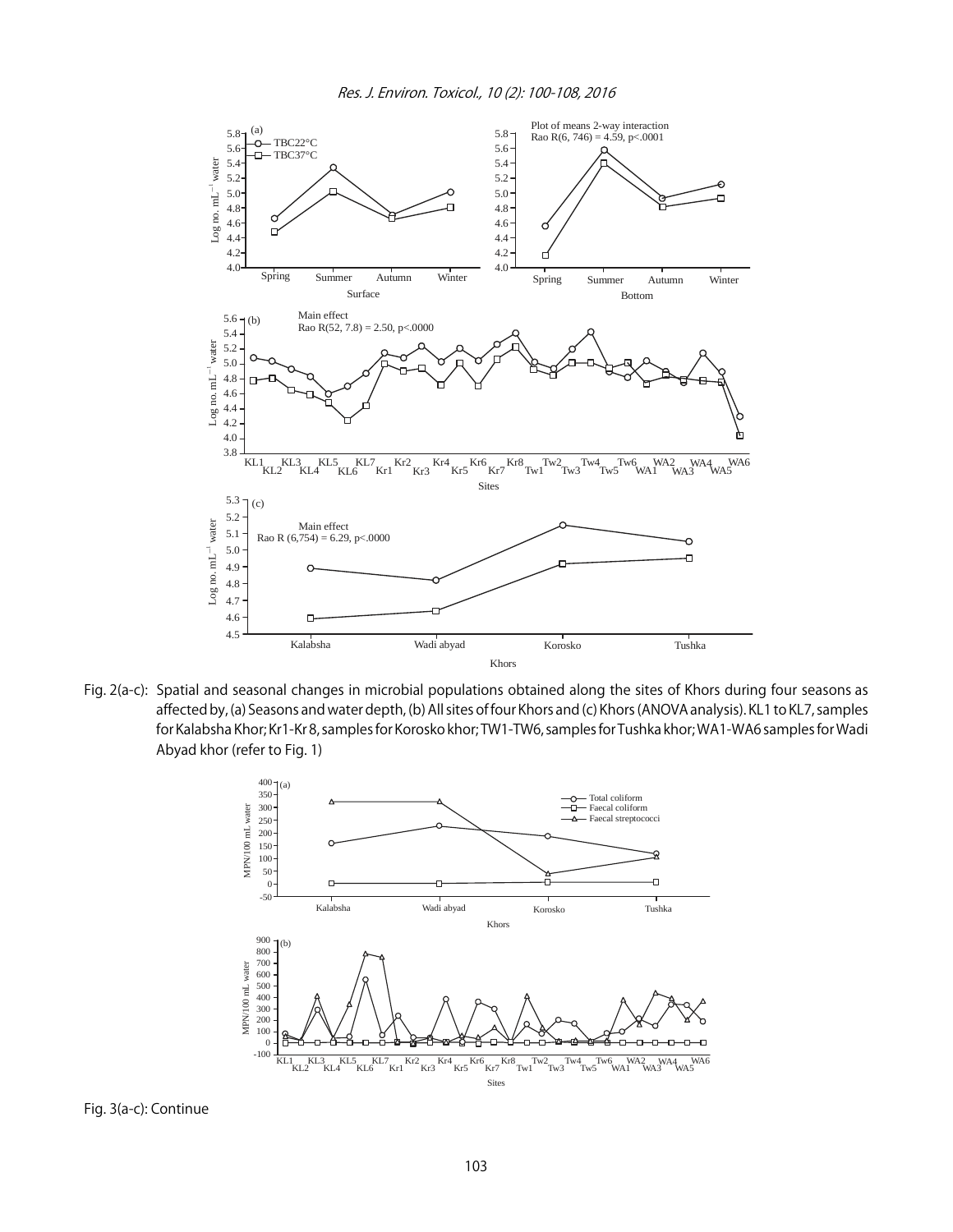

Fig. 2(a-c): Spatial and seasonal changes in microbial populations obtained along the sites of Khors during four seasons as affected by, (a) Seasons and water depth, (b) All sites of four Khors and (c) Khors (ANOVA analysis). KL1 to KL7, samples for Kalabsha Khor; Kr1-Kr 8, samples for Korosko khor; TW1-TW6, samples for Tushka khor; WA1-WA6 samples for Wadi Abyad khor (refer to Fig. 1)

![](_page_4_Figure_3.jpeg)

Fig. 3(a-c): Continue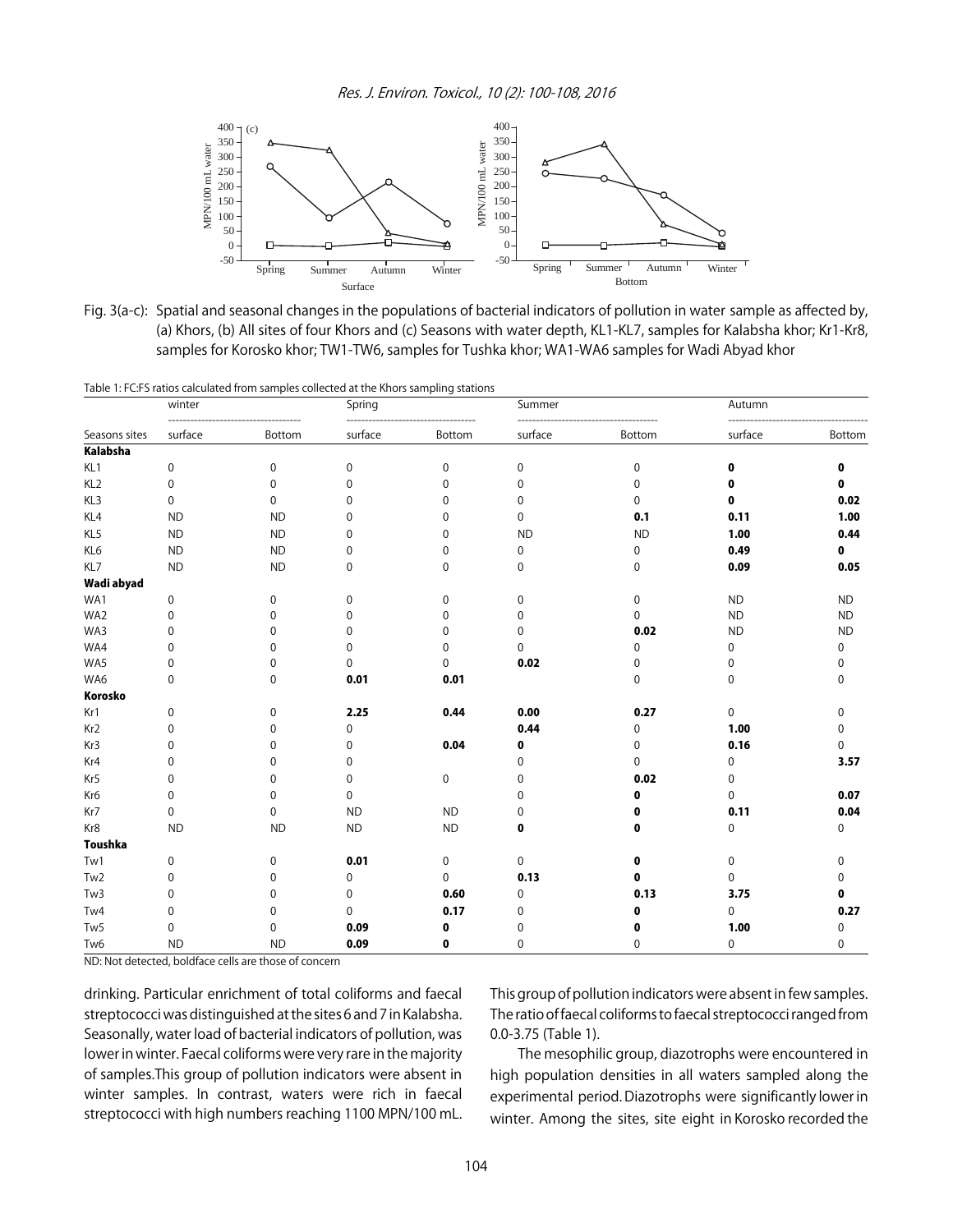Res. J. Environ. Toxicol., 10 (2): 100-108, 2016

![](_page_5_Figure_1.jpeg)

Fig. 3(a-c): Spatial and seasonal changes in the populations of bacterial indicators of pollution in water sample as affected by, (a) Khors, (b) All sites of four Khors and (c) Seasons with water depth, KL1-KL7, samples for Kalabsha khor; Kr1-Kr8, samples for Korosko khor; TW1-TW6, samples for Tushka khor; WA1-WA6 samples for Wadi Abyad khor

|                 |           | Table 1: FC:FS ratios calculated from samples collected at the Khors sampling stations |             |             |             |             |             |           |
|-----------------|-----------|----------------------------------------------------------------------------------------|-------------|-------------|-------------|-------------|-------------|-----------|
|                 | winter    |                                                                                        | Spring      |             | Summer      |             | Autumn      |           |
| Seasons sites   | surface   | Bottom                                                                                 | surface     | Bottom      | surface     | Bottom      | surface     | Bottom    |
| Kalabsha        |           |                                                                                        |             |             |             |             |             |           |
| KL1             | 0         | 0                                                                                      | $\mathbf 0$ | $\mathbf 0$ | $\mathbf 0$ | 0           | 0           | 0         |
| KL <sub>2</sub> | 0         | 0                                                                                      | 0           | 0           | 0           | 0           | 0           | 0         |
| KL3             | 0         | 0                                                                                      | 0           | 0           | 0           | 0           | 0           | 0.02      |
| KL4             | <b>ND</b> | <b>ND</b>                                                                              | 0           | 0           | 0           | 0.1         | 0.11        | 1.00      |
| KL5             | <b>ND</b> | <b>ND</b>                                                                              | 0           | 0           | <b>ND</b>   | <b>ND</b>   | 1.00        | 0.44      |
| KL6             | <b>ND</b> | <b>ND</b>                                                                              | 0           | 0           | 0           | 0           | 0.49        | 0         |
| KL7             | <b>ND</b> | <b>ND</b>                                                                              | $\mathbf 0$ | 0           | 0           | 0           | 0.09        | 0.05      |
| Wadi abyad      |           |                                                                                        |             |             |             |             |             |           |
| WA1             | 0         | 0                                                                                      | 0           | 0           | 0           | 0           | <b>ND</b>   | <b>ND</b> |
| WA2             | $\Omega$  | 0                                                                                      | 0           | 0           | 0           | $\Omega$    | <b>ND</b>   | <b>ND</b> |
| WA3             | 0         | 0                                                                                      | 0           | 0           | 0           | 0.02        | <b>ND</b>   | <b>ND</b> |
| WA4             | $\Omega$  | 0                                                                                      | 0           | 0           | $\Omega$    | $\Omega$    | 0           | 0         |
| WA5             | $\Omega$  | 0                                                                                      | $\Omega$    | 0           | 0.02        | 0           | 0           | 0         |
| WA6             | 0         | 0                                                                                      | 0.01        | 0.01        |             | $\mathbf 0$ | $\mathbf 0$ | 0         |
| Korosko         |           |                                                                                        |             |             |             |             |             |           |
| Kr1             | 0         | 0                                                                                      | 2.25        | 0.44        | 0.00        | 0.27        | $\mathbf 0$ | 0         |
| Kr <sub>2</sub> | 0         | 0                                                                                      | 0           |             | 0.44        | 0           | 1.00        | 0         |
| Kr3             | 0         | 0                                                                                      | 0           | 0.04        | 0           | 0           | 0.16        | 0         |
| Kr4             | 0         | 0                                                                                      | $\Omega$    |             | 0           | 0           | 0           | 3.57      |
| Kr5             | 0         | 0                                                                                      | 0           | 0           | 0           | 0.02        | 0           |           |
| Kr6             | 0         | 0                                                                                      | 0           |             | 0           | 0           | 0           | 0.07      |
| Kr7             | 0         | 0                                                                                      | <b>ND</b>   | <b>ND</b>   | 0           |             | 0.11        | 0.04      |
| Kr8             | <b>ND</b> | <b>ND</b>                                                                              | <b>ND</b>   | <b>ND</b>   | 0           | 0           | $\mathbf 0$ | 0         |
| <b>Toushka</b>  |           |                                                                                        |             |             |             |             |             |           |
| Tw1             | 0         | 0                                                                                      | 0.01        | 0           | 0           | 0           | 0           | 0         |
| Tw <sub>2</sub> | 0         | 0                                                                                      | 0           | $\Omega$    | 0.13        | 0           | $\Omega$    | 0         |
| Tw <sub>3</sub> | $\Omega$  | 0                                                                                      | 0           | $0.60\,$    | 0           | 0.13        | 3.75        | 0         |
| Tw4             | 0         | 0                                                                                      | 0           | 0.17        | 0           | 0           | 0           | 0.27      |
| Tw <sub>5</sub> | 0         | 0                                                                                      | 0.09        | 0           | 0           |             | 1.00        | 0         |
| Tw <sub>6</sub> | <b>ND</b> | <b>ND</b>                                                                              | 0.09        | 0           | 0           | 0           | 0           | 0         |

ND: Not detected, boldface cells are those of concern

drinking. Particular enrichment of total coliforms and faecal streptococci was distinguished at the sites 6 and 7 in Kalabsha. Seasonally, water load of bacterial indicators of pollution, was lower in winter. Faecal coliforms were very rare in the majority of samples.This group of pollution indicators were absent in winter samples. In contrast, waters were rich in faecal streptococci with high numbers reaching 1100 MPN/100 mL.

This group of pollution indicators were absent in few samples. The ratio of faecal coliforms to faecal streptococci ranged from 0.0-3.75 (Table 1).

The mesophilic group, diazotrophs were encountered in high population densities in all waters sampled along the experimental period. Diazotrophs were significantly lower in winter. Among the sites, site eight in Korosko recorded the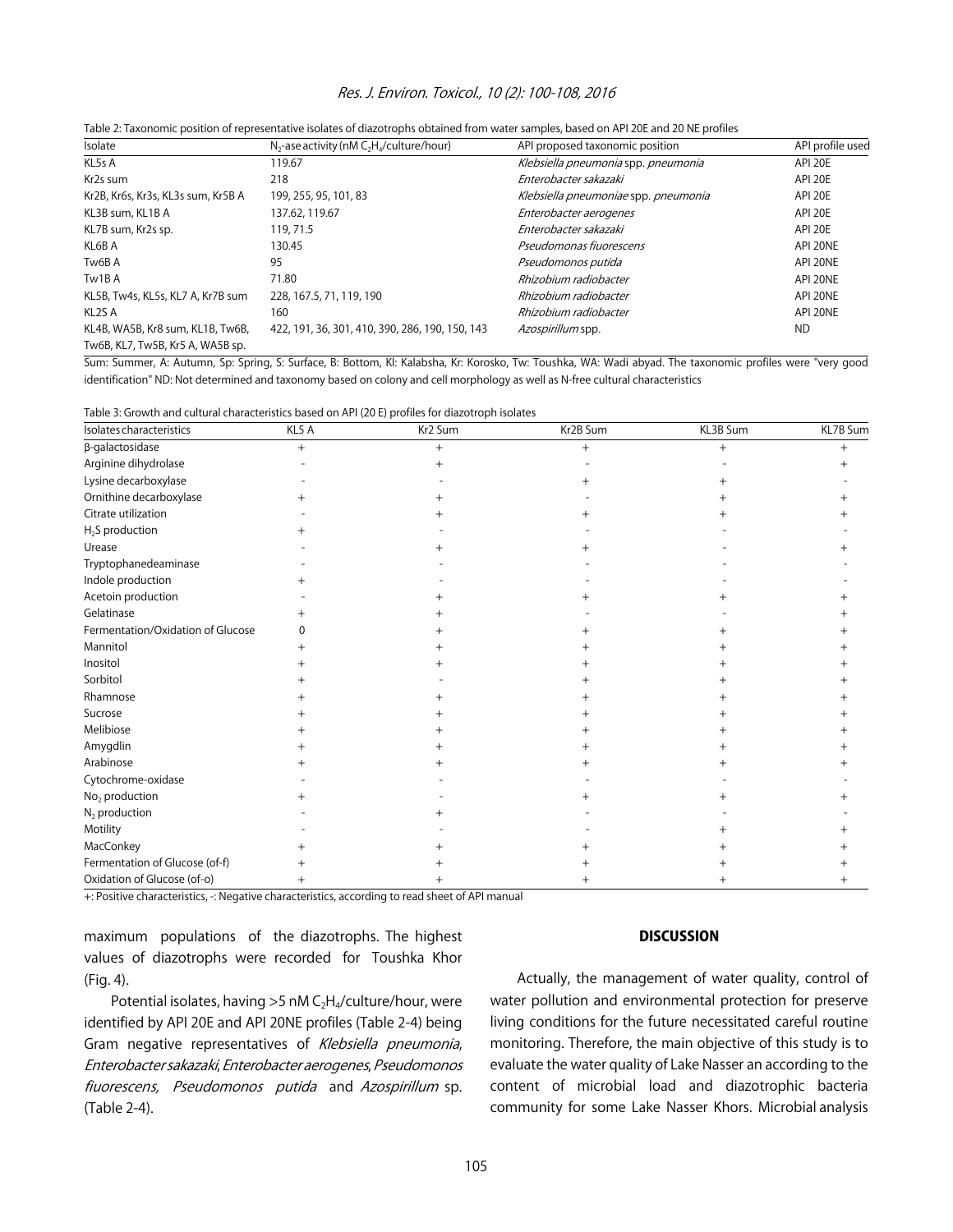#### Res. J. Environ. Toxicol., 10 (2): 100-108, 2016

| Isolate                            | $N_2$ -ase activity (nM $C_2H_4$ /culture/hour) | API proposed taxonomic position      | API profile used |
|------------------------------------|-------------------------------------------------|--------------------------------------|------------------|
| KL5s A                             | 119.67                                          | Klebsiella pneumonia spp. pneumonia  | API 20E          |
| Kr2s sum                           | 218                                             | Enterobacter sakazaki                | API 20E          |
| Kr2B, Kr6s, Kr3s, KL3s sum, Kr5B A | 199, 255, 95, 101, 83                           | Klebsiella pneumoniae spp. pneumonia | API 20E          |
| KL3B sum, KL1B A                   | 137.62, 119.67                                  | Enterobacter aerogenes               | API 20E          |
| KL7B sum, Kr2s sp.                 | 119, 71.5                                       | Enterobacter sakazaki                | API 20E          |
| KL6B A                             | 130.45                                          | Pseudomonas fiuorescens              | API 20NE         |
| Tw6B A                             | 95                                              | Pseudomonos putida                   | API 20NE         |
| Tw1B A                             | 71.80                                           | Rhizobium radiobacter                | API 20NE         |
| KL5B, Tw4s, KL5s, KL7 A, Kr7B sum  | 228, 167.5, 71, 119, 190                        | Rhizobium radiobacter                | API 20NE         |
| KL <sub>2</sub> S A                | 160                                             | Rhizobium radiobacter                | API 20NE         |
| KL4B, WA5B, Kr8 sum, KL1B, Tw6B,   | 422, 191, 36, 301, 410, 390, 286, 190, 150, 143 | Azospirillum spp.                    | <b>ND</b>        |
| Tw6B, KL7, Tw5B, Kr5 A, WA5B sp.   |                                                 |                                      |                  |

|  | Table 2: Taxonomic position of representative isolates of diazotrophs obtained from water samples, based on API 20E and 20 NE profiles |  |
|--|----------------------------------------------------------------------------------------------------------------------------------------|--|
|  |                                                                                                                                        |  |

Sum: Summer, A: Autumn, Sp: Spring, S: Surface, B: Bottom, Kl: Kalabsha, Kr: Korosko, Tw: Toushka, WA: Wadi abyad. The taxonomic profiles were "very good identification" ND: Not determined and taxonomy based on colony and cell morphology as well as N-free cultural characteristics

| Table 3: Growth and cultural characteristics based on API (20 E) profiles for diazotroph isolates |  |  |
|---------------------------------------------------------------------------------------------------|--|--|
|                                                                                                   |  |  |

| Isolates characteristics          | KL5 A | —<br>Kr2 Sum | Kr2B Sum | KL3B Sum | KL7B Sum |
|-----------------------------------|-------|--------------|----------|----------|----------|
| $\beta$ -galactosidase            | $+$   |              |          | $+$      | $^{+}$   |
| Arginine dihydrolase              |       |              |          |          |          |
| Lysine decarboxylase              |       |              |          |          |          |
| Ornithine decarboxylase           |       |              |          |          |          |
| Citrate utilization               |       |              |          |          |          |
| $H_2S$ production                 |       |              |          |          |          |
| Urease                            |       |              |          |          |          |
| Tryptophanedeaminase              |       |              |          |          |          |
| Indole production                 |       |              |          |          |          |
| Acetoin production                |       |              |          |          |          |
| Gelatinase                        |       |              |          |          |          |
| Fermentation/Oxidation of Glucose |       |              |          |          |          |
| Mannitol                          |       |              |          |          |          |
| Inositol                          |       |              |          |          |          |
| Sorbitol                          |       |              |          |          |          |
| Rhamnose                          |       |              |          |          |          |
| Sucrose                           |       |              |          |          |          |
| Melibiose                         |       |              |          |          |          |
| Amygdlin                          |       |              |          |          |          |
| Arabinose                         |       |              |          |          |          |
| Cytochrome-oxidase                |       |              |          |          |          |
| No <sub>2</sub> production        |       |              |          |          |          |
| $N_2$ production                  |       |              |          |          |          |
| Motility                          |       |              |          |          |          |
| MacConkey                         |       |              |          |          |          |
| Fermentation of Glucose (of-f)    |       |              |          |          |          |
| Oxidation of Glucose (of-o)       |       |              |          |          |          |

+: Positive characteristics, -: Negative characteristics, according to read sheet of API manual

maximum populations of the diazotrophs. The highest values of diazotrophs were recorded for Toushka Khor (Fig. 4).

Potential isolates, having  $>5$  nM C<sub>2</sub>H<sub>4</sub>/culture/hour, were identified by API 20E and API 20NE profiles (Table 2-4) being Gram negative representatives of Klebsiella pneumonia, Enterobacter sakazaki, Enterobacter aerogenes, Pseudomonos fiuorescens, Pseudomonos putida and Azospirillum sp. (Table 2-4).

#### **DISCUSSION**

Actually, the management of water quality, control of water pollution and environmental protection for preserve living conditions for the future necessitated careful routine monitoring. Therefore, the main objective of this study is to evaluate the water quality of Lake Nasser an according to the content of microbial load and diazotrophic bacteria community for some Lake Nasser Khors. Microbial analysis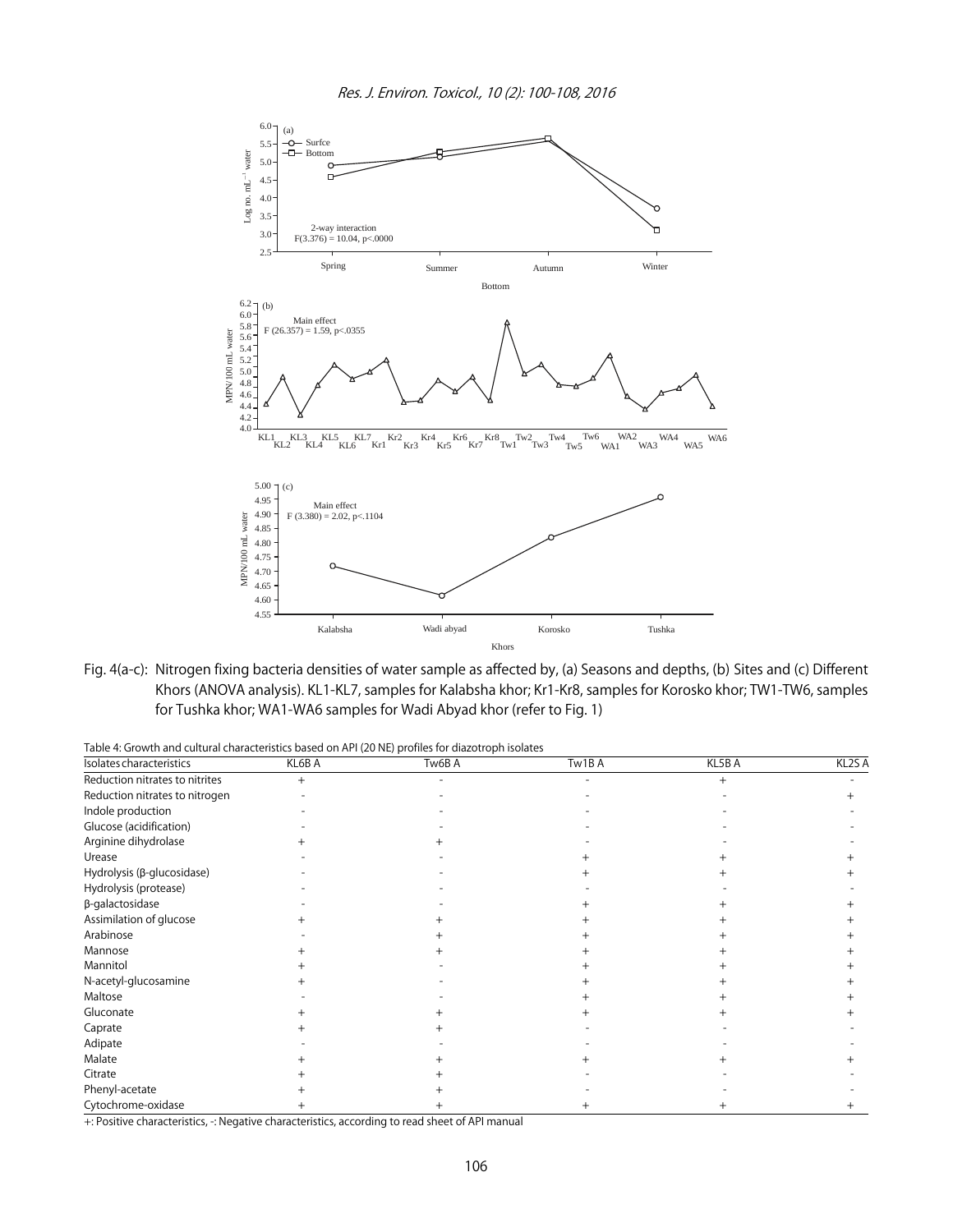![](_page_7_Figure_1.jpeg)

Fig. 4(a-c): Nitrogen fixing bacteria densities of water sample as affected by, (a) Seasons and depths, (b) Sites and (c) Different Khors (ANOVA analysis). KL1-KL7, samples for Kalabsha khor; Kr1-Kr8, samples for Korosko khor; TW1-TW6, samples for Tushka khor; WA1-WA6 samples for Wadi Abyad khor (refer to Fig. 1)

|  | Table 4: Growth and cultural characteristics based on API (20 NE) profiles for diazotroph isolates |  |
|--|----------------------------------------------------------------------------------------------------|--|
|  |                                                                                                    |  |

| Isolates characteristics       | KL6B A | . .<br>Tw6B A | Tw1BA | KL5B A | KL <sub>2</sub> S A |
|--------------------------------|--------|---------------|-------|--------|---------------------|
| Reduction nitrates to nitrites | $+$    |               |       |        |                     |
| Reduction nitrates to nitrogen |        |               |       |        |                     |
| Indole production              |        |               |       |        |                     |
| Glucose (acidification)        |        |               |       |        |                     |
| Arginine dihydrolase           |        |               |       |        |                     |
| Urease                         |        |               |       |        |                     |
| Hydrolysis (β-glucosidase)     |        |               |       |        |                     |
| Hydrolysis (protease)          |        |               |       |        |                     |
| β-galactosidase                |        |               |       |        |                     |
| Assimilation of glucose        |        |               |       |        |                     |
| Arabinose                      |        |               |       |        |                     |
| Mannose                        |        |               |       |        |                     |
| Mannitol                       |        |               |       |        |                     |
| N-acetyl-glucosamine           |        |               |       |        |                     |
| Maltose                        |        |               |       |        |                     |
| Gluconate                      |        |               |       |        |                     |
| Caprate                        |        |               |       |        |                     |
| Adipate                        |        |               |       |        |                     |
| Malate                         |        |               |       |        |                     |
| Citrate                        |        |               |       |        |                     |
| Phenyl-acetate                 |        |               |       |        |                     |
| Cytochrome-oxidase             |        |               |       |        |                     |

+: Positive characteristics, -: Negative characteristics, according to read sheet of API manual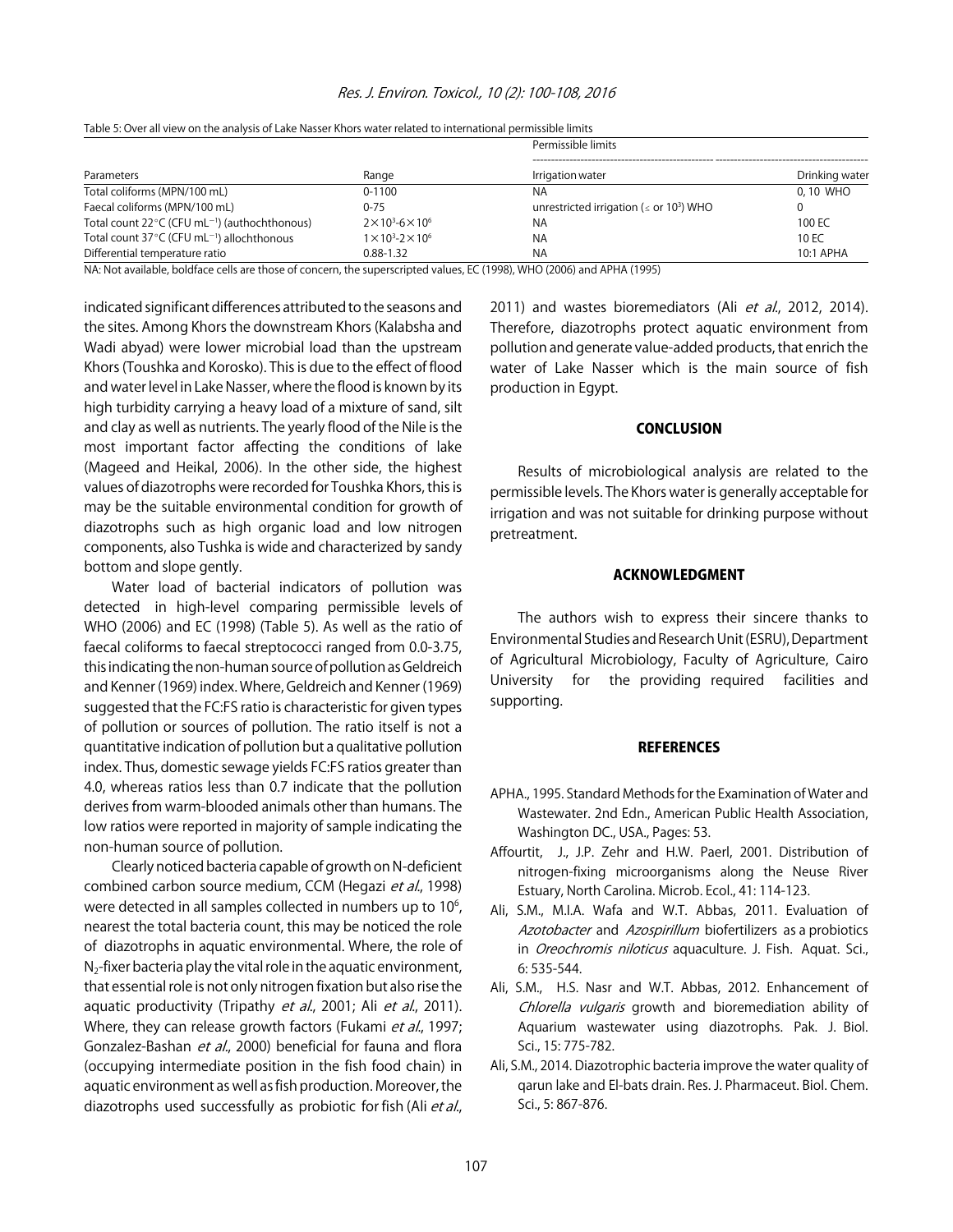|                                                                     |                                     | Permissible limits                                        |                |  |  |
|---------------------------------------------------------------------|-------------------------------------|-----------------------------------------------------------|----------------|--|--|
| Parameters                                                          | Range                               | Irrigation water                                          | Drinking water |  |  |
| Total coliforms (MPN/100 mL)                                        | $0 - 1100$                          | NA                                                        | 0, 10 WHO      |  |  |
| Faecal coliforms (MPN/100 mL)                                       | $0 - 75$                            | unrestricted irrigation ( $\leq$ or 10 <sup>3</sup> ) WHO |                |  |  |
| Total count $22^{\circ}$ C (CFU mL <sup>-1</sup> ) (authochthonous) | $2 \times 10^3 - 6 \times 10^6$     | NA                                                        | 100 EC         |  |  |
| Total count 37°C (CFU mL <sup>-1</sup> ) allochthonous              | $1 \times 10^{3} - 2 \times 10^{6}$ | NA                                                        | 10 EC          |  |  |
| Differential temperature ratio                                      | $0.88 - 1.32$                       | NA                                                        | 10:1 APHA      |  |  |

Table 5: Over all view on the analysis of Lake Nasser Khors water related to international permissible limits

NA: Not available, boldface cells are those of concern, the superscripted values, EC (1998), WHO (2006) and APHA (1995)

indicated significant differences attributed to the seasons and the sites. Among Khors the downstream Khors (Kalabsha and Wadi abyad) were lower microbial load than the upstream Khors (Toushka and Korosko). This is due to the effect of flood and water level in Lake Nasser, where the flood is known by its high turbidity carrying a heavy load of a mixture of sand, silt and clay as well as nutrients. The yearly flood of the Nile is the most important factor affecting the conditions of lake (Mageed and Heikal, 2006). In the other side, the highest values of diazotrophs were recorded for Toushka Khors, this is may be the suitable environmental condition for growth of diazotrophs such as high organic load and low nitrogen components, also Tushka is wide and characterized by sandy bottom and slope gently.

Water load of bacterial indicators of pollution was detected in high-level comparing permissible levels of WHO (2006) and EC (1998) (Table 5). As well as the ratio of faecal coliforms to faecal streptococci ranged from 0.0-3.75, this indicating the non-human source of pollution as Geldreich and Kenner (1969) index. Where, Geldreich and Kenner (1969) suggested that the FC:FS ratio is characteristic for given types of pollution or sources of pollution. The ratio itself is not a quantitative indication of pollution but a qualitative pollution index. Thus, domestic sewage yields FC:FS ratios greater than 4.0, whereas ratios less than 0.7 indicate that the pollution derives from warm-blooded animals other than humans. The low ratios were reported in majority of sample indicating the non-human source of pollution.

Clearly noticed bacteria capable of growth on N-deficient combined carbon source medium, CCM (Hegazi et al., 1998) were detected in all samples collected in numbers up to  $10<sup>6</sup>$ , nearest the total bacteria count, this may be noticed the role of diazotrophs in aquatic environmental. Where, the role of  $N<sub>2</sub>$ -fixer bacteria play the vital role in the aquatic environment, that essential role is not only nitrogen fixation but also rise the aquatic productivity (Tripathy et al., 2001; Ali et al., 2011). Where, they can release growth factors (Fukami et al., 1997; Gonzalez-Bashan et al., 2000) beneficial for fauna and flora (occupying intermediate position in the fish food chain) in aquatic environment as well as fish production. Moreover, the diazotrophs used successfully as probiotic for fish (Ali et al.,

2011) and wastes bioremediators (Ali et al., 2012, 2014). Therefore, diazotrophs protect aquatic environment from pollution and generate value-added products, that enrich the water of Lake Nasser which is the main source of fish production in Egypt.

#### **CONCLUSION**

Results of microbiological analysis are related to the permissible levels. The Khors water is generally acceptable for irrigation and was not suitable for drinking purpose without pretreatment.

#### ACKNOWLEDGMENT

The authors wish to express their sincere thanks to Environmental Studies and Research Unit (ESRU), Department of Agricultural Microbiology, Faculty of Agriculture, Cairo University for the providing required facilities and supporting.

#### **REFERENCES**

- APHA., 1995. Standard Methods for the Examination of Water and Wastewater. 2nd Edn., American Public Health Association, Washington DC., USA., Pages: 53.
- Affourtit, J., J.P. Zehr and H.W. Paerl, 2001. Distribution of nitrogen-fixing microorganisms along the Neuse River Estuary, North Carolina. Microb. Ecol., 41: 114-123.
- Ali, S.M., M.I.A. Wafa and W.T. Abbas, 2011. Evaluation of Azotobacter and Azospirillum biofertilizers as a probiotics in Oreochromis niloticus aquaculture. J. Fish. Aquat. Sci., 6: 535-544.
- Ali, S.M., H.S. Nasr and W.T. Abbas, 2012. Enhancement of Chlorella vulgaris growth and bioremediation ability of Aquarium wastewater using diazotrophs. Pak. J. Biol. Sci., 15: 775-782.
- Ali, S.M., 2014. Diazotrophic bacteria improve the water quality of qarun lake and El-bats drain. Res. J. Pharmaceut. Biol. Chem. Sci., 5: 867-876.